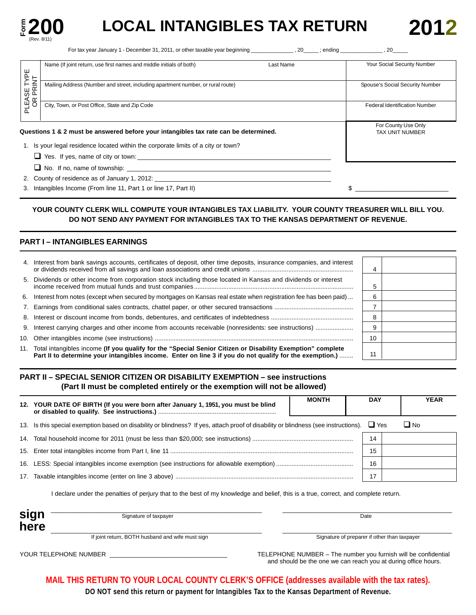

# **EXAMPLE 200** LOCAL INTANGIBLES TAX RETURN 2012

For tax year January 1 - December 31, 2011, or other taxable year beginning \_\_\_\_\_\_\_\_\_\_\_\_\_\_ , 20\_\_\_\_\_ ; ending \_\_\_\_\_\_\_\_\_\_\_\_\_\_ , 20\_\_\_\_\_

|                         | Name (If joint return, use first names and middle initials of both)                  | Last Name                       | Your Social Security Number          |
|-------------------------|--------------------------------------------------------------------------------------|---------------------------------|--------------------------------------|
|                         |                                                                                      |                                 |                                      |
|                         | Mailing Address (Number and street, including apartment number, or rural route)      | Spouse's Social Security Number |                                      |
| PLEASE TYPE<br>OR PRINT |                                                                                      |                                 |                                      |
|                         | City, Town, or Post Office, State and Zip Code                                       |                                 | <b>Federal Identification Number</b> |
|                         |                                                                                      |                                 |                                      |
|                         |                                                                                      |                                 | For County Use Only                  |
|                         | Questions 1 & 2 must be answered before your intangibles tax rate can be determined. |                                 | <b>TAX UNIT NUMBER</b>               |
|                         | 1. Is your legal residence located within the corporate limits of a city or town?    |                                 |                                      |
|                         | $\Box$ Yes. If yes, name of city or town:                                            |                                 |                                      |
|                         | $\Box$ No. If no, name of township: $\Box$                                           |                                 |                                      |
|                         | 2. County of residence as of January 1, 2012:                                        |                                 |                                      |
|                         | 3. Intangibles Income (From line 11, Part 1 or line 17, Part II)                     |                                 |                                      |

## **YOUR COUNTY CLERK WILL COMPUTE YOUR INTANGIBLES TAX LIABILITY. YOUR COUNTY TREASURER WILL BILL YOU. DO NOT SEND ANY PAYMENT FOR INTANGIBLES TAX TO THE KANSAS DEPARTMENT OF REVENUE.**

## **PART I – INTANGIBLES EARNINGS**

| 4. Interest from bank savings accounts, certificates of deposit, other time deposits, insurance companies, and interest                                                                                                   |    |  |
|---------------------------------------------------------------------------------------------------------------------------------------------------------------------------------------------------------------------------|----|--|
| 5. Dividends or other income from corporation stock including those located in Kansas and dividends or interest                                                                                                           |    |  |
| 6. Interest from notes (except when secured by mortgages on Kansas real estate when registration fee has been paid)                                                                                                       | 6  |  |
|                                                                                                                                                                                                                           |    |  |
|                                                                                                                                                                                                                           | 8  |  |
|                                                                                                                                                                                                                           | ö  |  |
|                                                                                                                                                                                                                           | 10 |  |
| 11. Total intangibles income (If you qualify for the "Special Senior Citizen or Disability Exemption" complete<br>Part II to determine your intangibles income. Enter on line 3 if you do not qualify for the exemption.) | 11 |  |

### **PART II – SPECIAL SENIOR CITIZEN OR DISABILITY EXEMPTION – see instructions (Part II must be completed entirely or the exemption will not be allowed)**

|     | <b>MONTH</b><br>12. YOUR DATE OF BIRTH (If you were born after January 1, 1951, you must be blind                                       |  |    |           |  | <b>YEAR</b> |
|-----|-----------------------------------------------------------------------------------------------------------------------------------------|--|----|-----------|--|-------------|
|     | 13. Is this special exemption based on disability or blindness? If yes, attach proof of disability or blindness (see instructions). Yes |  |    | $\Box$ No |  |             |
|     |                                                                                                                                         |  | 14 |           |  |             |
|     |                                                                                                                                         |  | 15 |           |  |             |
|     |                                                                                                                                         |  | 16 |           |  |             |
| 17. |                                                                                                                                         |  |    |           |  |             |
|     |                                                                                                                                         |  |    |           |  |             |

I declare under the penalties of perjury that to the best of my knowledge and belief, this is a true, correct, and complete return.

| sign | Signature of taxpayer                            | Date                                         |
|------|--------------------------------------------------|----------------------------------------------|
| here |                                                  |                                              |
|      | If joint return, BOTH husband and wife must sign | Signature of preparer if other than taxpayer |

YOUR TELEPHONE NUMBER \_\_\_\_\_\_\_\_\_\_\_\_\_\_\_\_\_\_\_\_\_\_\_\_\_\_\_\_\_\_\_\_\_\_ TELEPHONE NUMBER – The number you furnish will be confidential and should be the one we can reach you at during office hours.

**MAIL THIS RETURN TO YOUR LOCAL COUNTY CLERK'S OFFICE (addresses available with the tax rates).** 

**DO NOT send this return or payment for Intangibles Tax to the Kansas Department of Revenue.**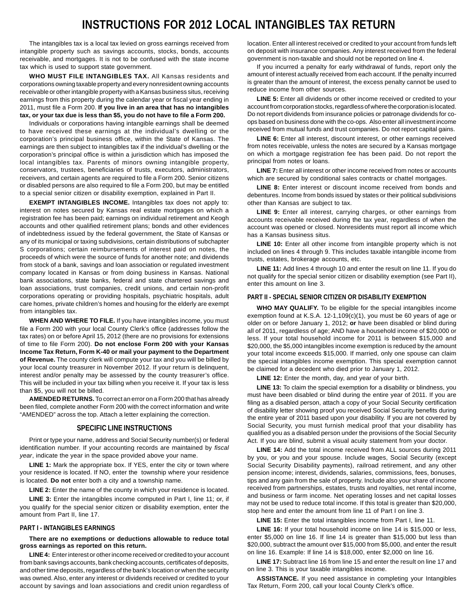# **INSTRUCTIONS FOR 2012 LOCAL INTANGIBLES TAX RETURN**

The intangibles tax is a local tax levied on gross earnings received from intangible property such as savings accounts, stocks, bonds, accounts receivable, and mortgages. It is not to be confused with the state income tax which is used to support state government.

**WHO MUST FILE INTANGIBLES TAX.** All Kansas residents and corporations owning taxable property and every nonresident owning accounts receivable or other intangible property with a Kansas business situs, receiving earnings from this property during the calendar year or fiscal year ending in 2011, must file a Form 200. **If you live in an area that has no intangibles tax, or your tax due is less than \$5, you do not have to file a Form 200.** 

Individuals or corporations having intangible earnings shall be deemed to have received these earnings at the individual's dwelling or the corporation's principal business office, within the State of Kansas. The earnings are then subject to intangibles tax if the individual's dwelling or the corporation's principal office is within a jurisdiction which has imposed the local intangibles tax. Parents of minors owning intangible property, conservators, trustees, beneficiaries of trusts, executors, administrators, receivers, and certain agents are required to file a Form 200. Senior citizens or disabled persons are also required to file a Form 200, but may be entitled to a special senior citizen or disability exemption, explained in Part II.

**EXEMPT INTANGIBLES INCOME.** Intangibles tax does not apply to: interest on notes secured by Kansas real estate mortgages on which a registration fee has been paid; earnings on individual retirement and Keogh accounts and other qualified retirement plans; bonds and other evidences of indebtedness issued by the federal government, the State of Kansas or any of its municipal or taxing subdivisions, certain distributions of subchapter S corporations; certain reimbursements of interest paid on notes, the proceeds of which were the source of funds for another note; and dividends from stock of a bank, savings and loan association or regulated investment company located in Kansas or from doing business in Kansas. National bank associations, state banks, federal and state chartered savings and loan associations, trust companies, credit unions, and certain non-profit corporations operating or providing hospitals, psychiatric hospitals, adult care homes, private children's homes and housing for the elderly are exempt from intangibles tax.

**WHEN AND WHERE TO FILE.** If you have intangibles income, you must file a Form 200 with your local County Clerk's office (addresses follow the tax rates) on or before April 15, 2012 (there are no provisions for extensions of time to file Form 200). **Do not enclose Form 200 with your Kansas Income Tax Return, Form K-40 or mail your payment to the Department of Revenue.** The county clerk will compute your tax and you will be billed by your local county treasurer in November 2012. If your return is delinquent, interest and/or penalty may be assessed by the county treasurer's office. This will be included in your tax billing when you receive it. If your tax is less than \$5, you will not be billed.

**AMENDED RETURNS.** To correct an error on a Form 200 that has already been filed, complete another Form 200 with the correct information and write "AMENDED" across the top. Attach a letter explaining the correction.

#### **SPECIFIC LINE INSTRUCTIONS**

Print or type your name, address and Social Security number(s) or federal identification number. If your accounting records are maintained by *fiscal year*, indicate the year in the space provided above your name.

**LINE 1:** Mark the appropriate box. If YES, enter the city or town where your residence is located. If NO, enter the township where your residence is located. **Do not** enter both a city and a township name.

LINE 2: Enter the name of the county in which your residence is located.

LINE 3: Enter the intangibles income computed in Part I, line 11; or, if you qualify for the special senior citizen or disability exemption, enter the amount from Part II, line 17.

#### **PART I - INTANGIBLES EARNINGS**

#### **There are no exemptions or deductions allowable to reduce total gross earnings as reported on this return.**

**LINE 4:** Enter interest or other income received or credited to your account from bank savings accounts, bank checking accounts, certificates of deposits, and other time deposits, regardless of the bank's location or when the security was owned. Also, enter any interest or dividends received or credited to your account by savings and loan associations and credit union regardless of

location. Enter all interest received or credited to your account from funds left on deposit with insurance companies. Any interest received from the federal government is non-taxable and should not be reported on line 4.

If you incurred a penalty for early withdrawal of funds, report only the amount of interest actually received from each account. If the penalty incurred is greater than the amount of interest, the excess penalty cannot be used to reduce income from other sources.

**LINE 5:** Enter all dividends or other income received or credited to your account from corporation stocks, regardless of where the corporation is located. Do not report dividends from insurance policies or patronage dividends for coops based on business done with the co-ops. Also enter all investment income received from mutual funds and trust companies. Do not report capital gains.

**LINE 6:** Enter all interest, discount interest, or other earnings received from notes receivable, unless the notes are secured by a Kansas mortgage on which a mortgage registration fee has been paid. Do not report the principal from notes or loans.

**LINE 7:** Enter all interest or other income received from notes or accounts which are secured by conditional sales contracts or chattel mortgages.

LINE 8: Enter interest or discount income received from bonds and debentures. Income from bonds issued by states or their political subdivisions other than Kansas are subject to tax.

**LINE 9:** Enter all interest, carrying charges, or other earnings from accounts receivable received during the tax year, regardless of when the account was opened or closed. Nonresidents must report all income which has a Kansas business situs.

LINE 10: Enter all other income from intangible property which is not included on lines 4 through 9. This includes taxable intangible income from trusts, estates, brokerage accounts, etc.

**LINE 11:** Add lines 4 through 10 and enter the result on line 11. If you do not qualify for the special senior citizen or disability exemption (see Part II), enter this amount on line 3.

#### **PART II - SPECIAL SENIOR CITIZEN OR DISABILITY EXEMPTION**

**WHO MAY QUALIFY.** To be eligible for the special intangibles income exemption found at K.S.A. 12-1,109(c)(1), you must be 60 years of age or older on or before January 1, 2012; **or** have been disabled or blind during all of 2011, regardless of age; AND have a household income of \$20,000 or less. If your total household income for 2011 is between \$15,000 and \$20,000, the \$5,000 intangibles income exemption is reduced by the amount your total income exceeds \$15,000. If married, only one spouse can claim the special intangibles income exemption. This special exemption cannot be claimed for a decedent who died prior to January 1, 2012.

**LINE 12:** Enter the month, day, and year of your birth.

**LINE 13:** To claim the special exemption for a disability or blindness, you must have been disabled or blind during the entire year of 2011. If you are filing as a disabled person, attach a copy of your Social Security certification of disability letter showing proof you received Social Security benefits during the entire year of 2011 based upon your disability. If you are not covered by Social Security, you must furnish medical proof that your disability has qualified you as a disabled person under the provisions of the Social Security Act. If you are blind, submit a visual acuity statement from your doctor.

**LINE 14:** Add the total income received from ALL sources during 2011 by you, or you and your spouse. Include wages, Social Security (except Social Security Disability payments), railroad retirement, and any other pension income; interest, dividends, salaries, commissions, fees, bonuses, tips and any gain from the sale of property. Include also your share of income received from partnerships, estates, trusts and royalties, net rental income, and business or farm income. Net operating losses and net capital losses may not be used to reduce total income. If this total is greater than \$20,000, stop here and enter the amount from line 11 of Part I on line 3.

**LINE 15:** Enter the total intangibles income from Part I, line 11.

**LINE 16:** If your total household income on line 14 is \$15,000 or less, enter \$5,000 on line 16. If line 14 is greater than \$15,000 but less than \$20,000, subtract the amount over \$15,000 from \$5,000, and enter the result on line 16. Example: If line 14 is \$18,000, enter \$2,000 on line 16.

**LINE 17:** Subtract line 16 from line 15 and enter the result on line 17 and on line 3. This is your taxable intangibles income.

**ASSISTANCE.** If you need assistance in completing your Intangibles Tax Return, Form 200, call your local County Clerk's office.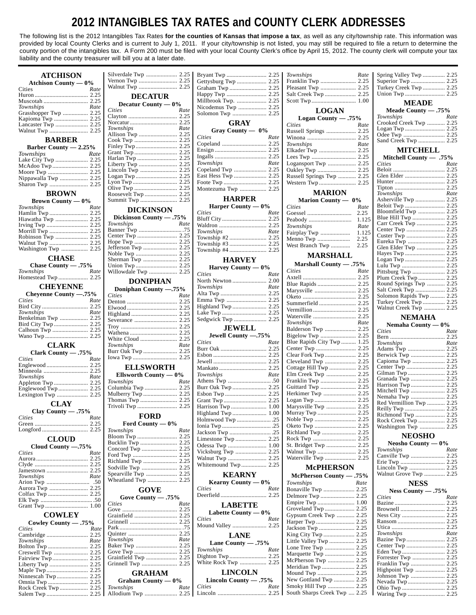# **2012 INTANGIBLES TAX RATES and COUNTY CLERK ADDRESSES**

The following list is the 2012 Intangibles Tax Rates **for the counties of Kansas that impose a tax**, as well as any city/township rate. This information was provided by local County Clerks and is current to July 1, 2011. If your city/township is not listed, you may still be required to file a return to determine the county portion of the intangibles tax. A Form 200 must be filed with your local County Clerk's office by April 15, 2012. The county clerk will compute your tax liability and the county treasurer will bill you at a later date.

| <b>ATCHISON</b>                        |                    |                         |      |                        |      | Townships                                            | Rate  | Spring Valley Twp  2.25  |                      |
|----------------------------------------|--------------------|-------------------------|------|------------------------|------|------------------------------------------------------|-------|--------------------------|----------------------|
| Atchison County $-0\%$                 |                    |                         |      |                        |      | Franklin Twp  2.25                                   |       |                          |                      |
| Cities                                 | Rate               | Walnut Twp  2.25        |      | Graham Twp  2.25       |      |                                                      |       | Turkey Creek Twp  2.25   |                      |
|                                        |                    |                         |      |                        |      |                                                      |       |                          |                      |
|                                        |                    | <b>DECATUR</b>          |      |                        |      |                                                      |       |                          |                      |
|                                        | Rate               | Decatur County $-0\%$   |      |                        |      |                                                      |       | <b>MEADE</b>             |                      |
| Townships<br>Grasshopper Twp  2.25     |                    | Cities                  | Rate | Nicodemus Twp  2.25    |      | <b>LOGAN</b>                                         |       | Meade County $-.75%$     |                      |
| Kapioma Twp  2.25                      |                    |                         |      |                        |      | Logan County $-.75%$                                 |       | <b>Townships</b>         | Rate                 |
|                                        |                    |                         |      | <b>GRAY</b>            |      | <b>Cities</b>                                        | Rate  | Crooked Creek Twp  2.25  |                      |
|                                        |                    | Townships               | Rate | Gray County — 0%       |      |                                                      |       |                          |                      |
|                                        |                    |                         |      |                        |      |                                                      |       |                          |                      |
| <b>BARBER</b>                          |                    |                         |      | Cities                 | Rate |                                                      |       | Sand Creek Twp  2.25     |                      |
| Barber County $-2.25%$                 |                    |                         |      |                        |      | Townships                                            | Rate  |                          |                      |
| Townships                              | Rate               |                         |      |                        |      |                                                      |       | <b>MITCHELL</b>          |                      |
|                                        |                    |                         |      |                        |      |                                                      |       | Mitchell County - .75%   |                      |
|                                        |                    |                         |      | Townships              | Rate | Logansport Twp  2.25                                 |       | Cities                   | Rate                 |
|                                        |                    | Lincoln Twp  2.25       |      | Copeland Twp  2.25     |      |                                                      |       |                          |                      |
|                                        |                    |                         |      |                        |      | Russell Springs Twp  2.25                            |       |                          |                      |
| Nippawalla Twp  2.25                   |                    |                         |      |                        |      |                                                      |       |                          |                      |
|                                        |                    |                         |      | Montezuma Twp  2.25    |      |                                                      |       |                          |                      |
| <b>BROWN</b>                           |                    |                         |      |                        |      | <b>MARION</b>                                        |       | Townships                | Rate                 |
| <b>Brown County — <math>0\%</math></b> |                    |                         |      | <b>HARPER</b>          |      | Marion County — 0%                                   |       | Asherville Twp  2.25     |                      |
| Townships                              | Rate               |                         |      | Harper County $-0\%$   |      | <b>Cities</b>                                        | Rate  |                          |                      |
|                                        |                    | <b>DICKINSON</b>        |      | Cities                 | Rate |                                                      |       |                          |                      |
|                                        |                    | Dickinson County - .75% |      |                        |      |                                                      | 2.25  |                          |                      |
| Hiawatha Twp  2.25                     |                    | Townships               | Rate |                        |      |                                                      |       | Carr Creek Twp  2.25     |                      |
|                                        |                    |                         |      |                        |      | Townships                                            | Rate  |                          |                      |
|                                        |                    |                         |      | Townships              | Rate | Fairplay Twp                                         | 1.125 |                          |                      |
|                                        |                    |                         |      |                        |      | Menno Twp                                            | 2.25  |                          |                      |
|                                        |                    |                         |      |                        |      |                                                      |       | Glen Elder Twp  2.25     |                      |
| Washington Twp  2.25                   |                    |                         |      |                        |      |                                                      |       |                          |                      |
| <b>CHASE</b>                           |                    |                         |      |                        |      | <b>MARSHALL</b>                                      |       |                          |                      |
|                                        |                    |                         |      | <b>HARVEY</b>          |      | Marshall County - .75%                               |       |                          |                      |
| Chase County - .75%                    |                    |                         |      | Harvey County $-0\%$   |      |                                                      |       |                          |                      |
| Townships                              | Rate               |                         |      | Cities                 | Rate | <b>Cities</b>                                        | Rate  |                          |                      |
|                                        |                    | <b>DONIPHAN</b>         |      |                        |      |                                                      |       | Plum Creek Twp 2.25      |                      |
| <b>CHEYENNE</b>                        |                    |                         |      | Townships              | Rate |                                                      |       | Round Springs Twp  2.25  |                      |
| Chevenne County -75%                   |                    | Doniphan County -.75%   |      |                        |      |                                                      |       |                          |                      |
|                                        |                    | Cities                  | Rate |                        |      |                                                      |       | Solomon Rapids Twp  2.25 |                      |
| <b>Cities</b>                          | Rate               |                         |      | Emma Twp  2.25         |      |                                                      |       | Turkey Creek Twp  2.25   |                      |
|                                        |                    |                         |      | Highland Twp  2.25     |      |                                                      |       | Walnut Creek Twp  2.25   |                      |
| Townships                              | Rate               |                         |      |                        |      | Waterville  2.25                                     |       |                          |                      |
| Benkelman Twp  2.25                    |                    |                         |      |                        |      |                                                      |       | <b>NEMAHA</b>            |                      |
|                                        |                    |                         |      |                        |      | Townships                                            | Rate  | Nemaha County $-0\%$     |                      |
|                                        |                    |                         |      | <b>JEWELL</b>          |      | Balderson Twp  2.25                                  |       | Cities                   | Rate                 |
|                                        |                    |                         |      | Jewell County -. 75%   |      |                                                      |       |                          |                      |
|                                        |                    | Townships               | Rate | Cities                 | Rate | Blue Rapids City Twp  1.25                           |       | Townships                | Rate                 |
| <b>CLARK</b>                           |                    |                         |      |                        |      |                                                      |       |                          |                      |
| Clark County - .75%                    |                    |                         |      |                        |      |                                                      |       |                          |                      |
| <b>Cities</b>                          | Rate               |                         |      |                        |      | Cleveland Twp  2.25                                  |       | Capioma Twp  2.25        |                      |
|                                        |                    | <b>ELLSWORTH</b>        |      |                        |      | Cottage Hill Twp  2.25                               |       |                          |                      |
|                                        |                    |                         |      |                        |      | Elm Creek Twp  2.25                                  |       | Gilman Twp  2.25         |                      |
| Townships                              | Rate               | Ellsworth County $-0\%$ |      | Townships              | Rate |                                                      |       |                          |                      |
|                                        |                    | Townships               | Rate |                        |      |                                                      |       | Harrison Twp  2.25       |                      |
|                                        |                    |                         |      |                        |      |                                                      |       |                          |                      |
|                                        |                    | Mulberry Twp  2.25      |      |                        |      |                                                      |       |                          |                      |
|                                        |                    |                         |      |                        |      |                                                      |       | Red Vermillion Twp  2.25 |                      |
| <b>CLAY</b>                            |                    |                         |      |                        |      |                                                      |       |                          |                      |
| Clay County $-.75%$                    |                    |                         |      |                        |      |                                                      |       |                          |                      |
| <b>Cities</b>                          | <i><b>Rate</b></i> | <b>FORD</b>             |      | Holmwood Twp 25        |      |                                                      |       |                          |                      |
|                                        |                    | Ford County $-0\%$      |      |                        |      |                                                      |       | Rock Creek Twp  2.25     |                      |
|                                        |                    | Townships               | Rate |                        |      |                                                      |       | Washington Twp  2.25     |                      |
|                                        |                    |                         |      |                        |      |                                                      |       |                          |                      |
|                                        |                    |                         |      |                        |      |                                                      |       |                          |                      |
| <b>CLOUD</b>                           |                    |                         |      |                        |      |                                                      |       | <b>NEOSHO</b>            |                      |
| Cloud County -. 75%                    |                    | Bucklin Twp  2.25       |      |                        |      | St. Bridget Twp  2.25                                |       | Neosho County $-0\%$     |                      |
| <b>Cities</b>                          | Rate               |                         |      |                        |      |                                                      |       | Townships                |                      |
|                                        |                    |                         |      |                        |      | Waterville Twp  2.25                                 |       |                          |                      |
|                                        |                    | Richland Twp  2.25      |      |                        |      |                                                      |       |                          |                      |
|                                        |                    |                         |      | Whitemound Twp 2.25    |      | <b>McPHERSON</b>                                     |       |                          |                      |
| Townships                              | Rate               | Spearville Twp  2.25    |      | <b>KEARNY</b>          |      | McPherson County - .75%                              |       | Walnut Grove Twp  2.25   |                      |
|                                        |                    | Wheatland Twp  2.25     |      |                        |      |                                                      |       |                          |                      |
|                                        |                    |                         |      | Kearny County $-0\%$   |      | Townships                                            | Rate  | <b>NESS</b>              |                      |
|                                        |                    | <b>GOVE</b>             |      | Cities                 | Rate | Bonaville Twp  2.25                                  |       | Ness County $-.75%$      |                      |
|                                        |                    | Gove County $-.75%$     |      |                        |      |                                                      |       | Cities                   |                      |
|                                        |                    | <b>Cities</b>           | Rate |                        |      |                                                      |       |                          |                      |
|                                        |                    |                         |      | <b>LABETTE</b>         |      |                                                      |       |                          |                      |
| <b>COWLEY</b>                          |                    |                         |      | Labette County $-0\%$  |      | Gypsum Creek Twp  2.25                               |       |                          |                      |
|                                        |                    |                         |      | Cities                 | Rate |                                                      |       |                          |                      |
| Cowley County $-.75\%$                 |                    |                         |      | Mound Valley  2.25     |      |                                                      |       |                          |                      |
| <b>Cities</b>                          | Rate               |                         |      |                        |      |                                                      |       | Townships                |                      |
|                                        |                    |                         |      | <b>LANE</b>            |      |                                                      |       |                          |                      |
| Townships                              | Rate               | Townships               | Rate | Lane County - .75%     |      | Little Valley Twp  2.25                              |       |                          |                      |
|                                        |                    | Baker Twp  2.25         |      | Townships              | Rate | Lone Tree Twp  2.25                                  |       |                          |                      |
|                                        |                    |                         |      |                        |      | Marquette Twp  2.25                                  |       |                          |                      |
|                                        |                    | Grainfield Twp  2.25    |      |                        |      | McPherson Twp  2.25                                  |       |                          |                      |
|                                        |                    |                         |      | White Rock Twp  2.25   |      |                                                      |       |                          |                      |
|                                        |                    |                         |      |                        |      | Meridian Twp  2.25                                   |       |                          |                      |
|                                        |                    | <b>GRAHAM</b>           |      | <b>LINCOLN</b>         |      | Mound Twp  2.25                                      |       |                          |                      |
|                                        |                    | Graham County $-0\%$    |      | Lincoln County $-.75%$ |      | New Gottland Twp  2.25                               |       |                          |                      |
|                                        |                    | Townships               | Rate | <b>Cities</b>          | Rate | Smoky Hill Twp  2.25<br>South Sharps Creek Twp  2.25 |       |                          | Rate<br>Rate<br>Rate |